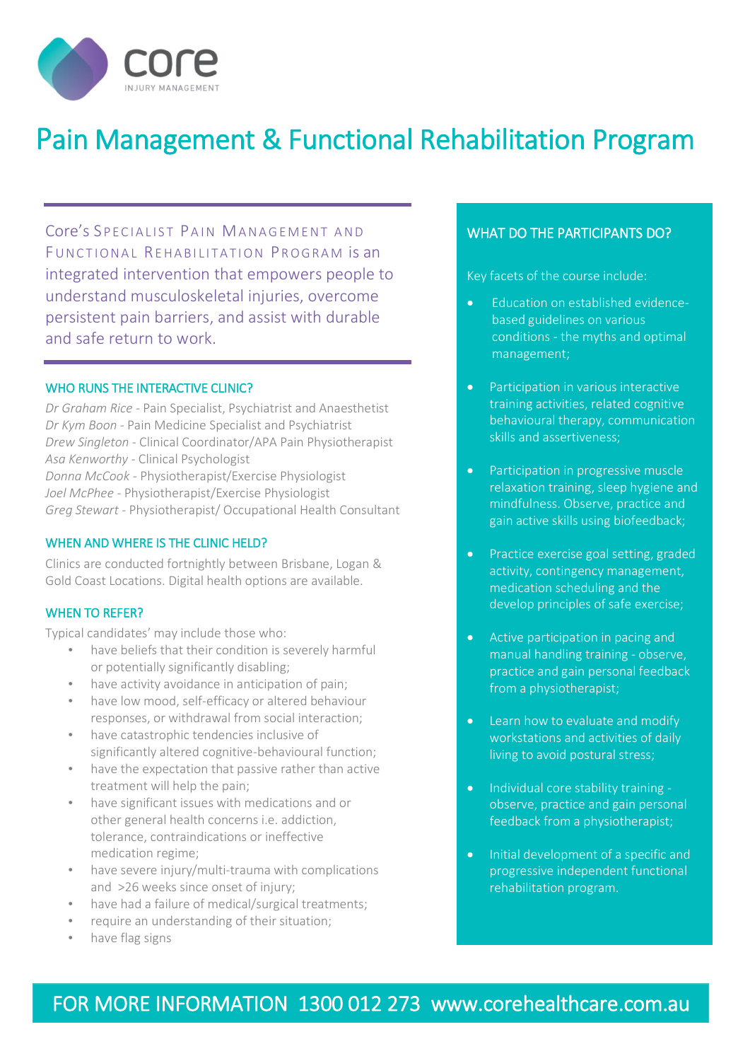

# Pain Management & Functional Rehabilitation Program

Core's SPECIALIST PAIN MANAGEMENT AND FUNCTIONAL REHABILITATION PROGRAM IS an integrated intervention that empowers people to understand musculoskeletal injuries, overcome persistent pain barriers, and assist with durable and safe return to work.

#### WHO RUNS THE INTERACTIVE CLINIC?

*Dr Graham Rice -* Pain Specialist, Psychiatrist and Anaesthetist *Dr Kym Boon* - Pain Medicine Specialist and Psychiatrist *Drew Singleton* - Clinical Coordinator/APA Pain Physiotherapist *Asa Kenworthy -* Clinical Psychologist *Donna McCook* - Physiotherapist/Exercise Physiologist *Joel McPhee* - Physiotherapist/Exercise Physiologist *Greg Stewart* - Physiotherapist/ Occupational Health Consultant

#### WHEN AND WHERE IS THE CLINIC HELD?

Clinics are conducted fortnightly between Brisbane, Logan & Gold Coast Locations. Digital health options are available.

#### WHEN TO REFER?

Typical candidates' may include those who:

- have beliefs that their condition is severely harmful or potentially significantly disabling;
- have activity avoidance in anticipation of pain;
- have low mood, self-efficacy or altered behaviour responses, or withdrawal from social interaction;
- have catastrophic tendencies inclusive of significantly altered cognitive-behavioural function;
- have the expectation that passive rather than active treatment will help the pain;
- have significant issues with medications and or other general health concerns i.e. addiction, tolerance, contraindications or ineffective medication regime;
- have severe injury/multi-trauma with complications and >26 weeks since onset of injury;
- have had a failure of medical/surgical treatments;
- require an understanding of their situation;
- have flag signs

Ī

### WHAT DO THE PARTICIPANTS DO?

Key facets of the course include:

- Education on established evidencebased guidelines on various conditions - the myths and optimal management;
- Participation in various interactive training activities, related cognitive behavioural therapy, communication skills and assertiveness;
- Participation in progressive muscle relaxation training, sleep hygiene and mindfulness. Observe, practice and gain active skills using biofeedback;
- Practice exercise goal setting, graded activity, contingency management, medication scheduling and the develop principles of safe exercise;
- Active participation in pacing and manual handling training - observe, practice and gain personal feedback from a physiotherapist;
- Learn how to evaluate and modify workstations and activities of daily living to avoid postural stress;
- Individual core stability training observe, practice and gain personal feedback from a physiotherapist;
- Initial development of a specific and progressive independent functional rehabilitation program.

# FOR MORE INFORMATION 1300 012 273 www.corehealthcare.com.au